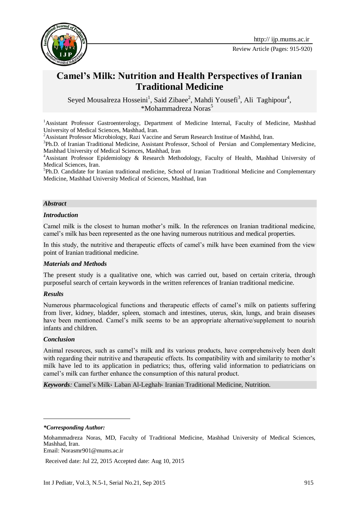

# **Camel's Milk: Nutrition and Health Perspectives of Iranian Traditional Medicine**

Seyed Mousalreza Hosseini<sup>1</sup>, Said Zibaee<sup>2</sup>, Mahdi Yousefi<sup>3</sup>, Ali Taghipour<sup>4</sup>, \*Mohammadreza Noras<sup>5</sup>

<sup>1</sup>Assistant Professor Gastroenterology, Department of Medicine Internal, Faculty of Medicine, Mashhad University of Medical Sciences, Mashhad, Iran.

<sup>2</sup> Assistant Professor Microbiology, Razi Vaccine and Serum Research Institue of Mashhd, Iran.

<sup>3</sup>Ph.D. of Iranian Traditional Medicine, Assistant Professor, School of Persian and Complementary Medicine, Mashhad University of Medical Sciences, Mashhad, Iran

<sup>4</sup>Assistant Professor Epidemiology & Research Methodology, Faculty of Health, Mashhad University of Medical Sciences, Iran.

<sup>5</sup>Ph.D. Candidate for Iranian traditional medicine, School of Iranian Traditional Medicine and Complementary Medicine, Mashhad University Medical of Sciences, Mashhad, Iran

#### *Abstract*

#### *Introduction*

Camel milk is the closest to human mother's milk. In the references on Iranian traditional medicine, camel's milk has been represented as the one having numerous nutritious and medical properties.

In this study, the nutritive and therapeutic effects of camel's milk have been examined from the view point of Iranian traditional medicine.

#### *Materials and Methods*

The present study is a qualitative one, which was carried out, based on certain criteria, through purposeful search of certain keywords in the written references of Iranian traditional medicine.

#### *Results*

Numerous pharmacological functions and therapeutic effects of camel's milk on patients suffering from liver, kidney, bladder, spleen, stomach and intestines, uterus, skin, lungs, and brain diseases have been mentioned. Camel's milk seems to be an appropriate alternative/supplement to nourish infants and children.

#### *Conclusion*

1

Animal resources, such as camel's milk and its various products, have comprehensively been dealt with regarding their nutritive and therapeutic effects. Its compatibility with and similarity to mother's milk have led to its application in pediatrics; thus, offering valid information to pediatricians on camel's milk can further enhance the consumption of this natural product.

*Keywords:* Camel's Milk، Laban Al-Leghah، Iranian Traditional Medicine, Nutrition.

Received date: Jul 22, 2015 Accepted date: Aug 10, 2015

*<sup>\*</sup>Corresponding Author:*

Mohammadreza Noras, MD, Faculty of Traditional Medicine, Mashhad University of Medical Sciences, Mashhad, Iran. Email: Norasmr901@mums.ac.ir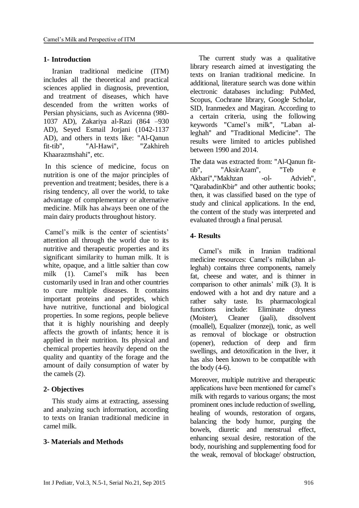### **1- Introduction**

Iranian traditional medicine (ITM) includes all the theoretical and practical sciences applied in diagnosis, prevention, and treatment of diseases, which have descended from the written works of Persian physicians, such as Avicenna (980- 1037 AD), Zakariya al-Razi (864 –930 AD), Seyed Esmail Jorjani (1042-1137 AD), and others in texts like: "Al-Qanun fit-tib", "Al-Hawi", "Zakhireh Khaarazmshahi", etc.

In this science of medicine, focus on nutrition is one of the major principles of prevention and treatment; besides, there is a rising tendency, all over the world, to take advantage of complementary or alternative medicine. Milk has always been one of the main dairy products throughout history.

Camel's milk is the center of scientists' attention all through the world due to its nutritive and therapeutic properties and its significant similarity to human milk. It is white, opaque, and a little saltier than cow milk (1). Camel's milk has been customarily used in Iran and other countries to cure multiple diseases. It contains important proteins and peptides, which have nutritive, functional and biological properties. In some regions, people believe that it is highly nourishing and deeply affects the growth of infants; hence it is applied in their nutrition. Its physical and chemical properties heavily depend on the quality and quantity of the forage and the amount of daily consumption of water by the camels (2).

### **2- Objectives**

This study aims at extracting, assessing and analyzing such information, according to texts on Iranian traditional medicine in camel milk.

# **3- Materials and Methods**

The current study was a qualitative library research aimed at investigating the texts on Iranian traditional medicine. In additional, literature search was done within electronic databases including: PubMed, Scopus, Cochrane library, Google Scholar, SID, Iranmedex and Magiran. According to a certain criteria, using the following keywords "Camel's milk", "Laban alleghah" and "Traditional Medicine". The results were limited to articles published between 1990 and 2014.

The data was extracted from: "Al-Qanun fittib", "AksirAzam", "Teb e Akbari","Makhzan -ol- Advieh", "QarabadinKbir" and other authentic books; then, it was classified based on the type of study and clinical applications. In the end, the content of the study was interpreted and evaluated through a final perusal.

### **4- Results**

Camel's milk in Iranian traditional medicine resources: Camel's milk(laban alleghah) contains three components, namely fat, cheese and water, and is thinner in comparison to other animals' milk (3). It is endowed with a hot and dry nature and a rather salty taste. Its pharmacological functions include: Eliminate dryness (Moister), Cleaner (jaali), dissolvent (moallel), Equalizer (monzej), tonic, as well as removal of blockage or obstruction (opener), reduction of deep and firm swellings, and detoxification in the liver, it has also been known to be compatible with the body  $(4-6)$ .

Moreover, multiple nutritive and therapeutic applications have been mentioned for camel's milk with regards to various organs; the most prominent ones include reduction of swelling, healing of wounds, restoration of organs, balancing the body humor, purging the bowels, diuretic and menstrual effect, enhancing sexual desire, restoration of the body, nourishing and supplementing food for the weak, removal of blockage/ obstruction,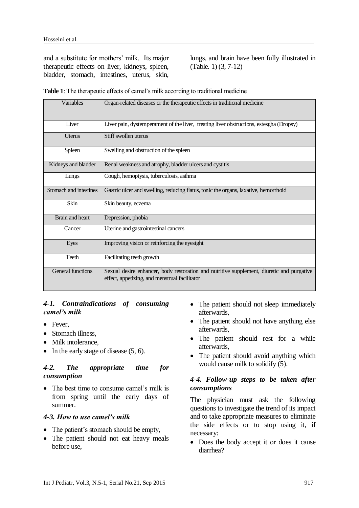and a substitute for mothers' milk. Its major therapeutic effects on liver, kidneys, spleen, bladder, stomach, intestines, uterus, skin,

lungs, and brain have been fully illustrated in (Table. 1) (3, 7-12)

|  | <b>Table 1:</b> The therapeutic effects of camel's milk according to traditional medicine |
|--|-------------------------------------------------------------------------------------------|
|--|-------------------------------------------------------------------------------------------|

| Variables                | Organ-related diseases or the therapeutic effects in traditional medicine                                                                  |
|--------------------------|--------------------------------------------------------------------------------------------------------------------------------------------|
| Liver                    | Liver pain, dystemperament of the liver, treating liver obstructions, estesgha (Dropsy)                                                    |
| Uterus                   | Stiff swollen uterus                                                                                                                       |
| Spleen                   | Swelling and obstruction of the spleen                                                                                                     |
| Kidneys and bladder      | Renal weakness and atrophy, bladder ulcers and cystitis                                                                                    |
| Lungs                    | Cough, hemoptysis, tuberculosis, asthma                                                                                                    |
| Stomach and intestines   | Gastric ulcer and swelling, reducing flatus, tonic the organs, laxative, hemorrhoid                                                        |
| <b>Skin</b>              | Skin beauty, eczema                                                                                                                        |
| Brain and heart          | Depression, phobia                                                                                                                         |
| Cancer                   | Uterine and gastrointestinal cancers                                                                                                       |
| Eyes                     | Improving vision or reinforcing the eyesight                                                                                               |
| Teeth                    | Facilitating teeth growth                                                                                                                  |
| <b>General functions</b> | Sexual desire enhancer, body restoration and nutritive supplement, diuretic and purgative<br>effect, appetizing, and menstrual facilitator |

### *4-1. Contraindications of consuming camel's milk*

- Fever.
- Stomach illness,
- Milk intolerance,
- $\bullet$  In the early stage of disease (5, 6).

#### *4-2. The appropriate time for consumption*

• The best time to consume camel's milk is from spring until the early days of summer.

### *4-3. How to use camel's milk*

- The patient's stomach should be empty,
- The patient should not eat heavy meals before use,
- The patient should not sleep immediately afterwards,
- The patient should not have anything else afterwards,
- The patient should rest for a while afterwards,
- The patient should avoid anything which would cause milk to solidify (5).

### *4-4. Follow-up steps to be taken after consumptions*

The physician must ask the following questions to investigate the trend of its impact and to take appropriate measures to eliminate the side effects or to stop using it, if necessary:

• Does the body accept it or does it cause diarrhea?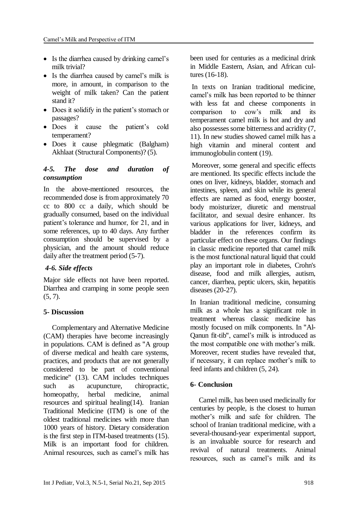- Is the diarrhea caused by drinking camel's milk trivial?
- Is the diarrhea caused by camel's milk is more, in amount, in comparison to the weight of milk taken? Can the patient stand it?
- Does it solidify in the patient's stomach or passages?
- Does it cause the patient's cold temperament?
- Does it cause phlegmatic (Balgham) Akhlaat (Structural Components)? (5).

### *4-5. The dose and duration of consumption*

In the above-mentioned resources, the recommended dose is from approximately 70 cc to 800 cc a daily, which should be gradually consumed, based on the individual patient's tolerance and humor, for 21, and in some references, up to 40 days. Any further consumption should be supervised by a physician, and the amount should reduce daily after the treatment period (5-7).

### *4-6. Side effects*

Major side effects not have been reported. Diarrhea and cramping in some people seen  $(5, 7)$ .

### **5- Discussion**

Complementary and Alternative Medicine (CAM) therapies have become increasingly in populations. CAM is defined as "A group of diverse medical and health care systems, practices, and products that are not generally considered to be part of conventional medicine" (13). CAM includes techniques such as acupuncture, chiropractic, homeopathy, herbal medicine, animal resources and spiritual healing(14). Iranian Traditional Medicine (ITM) is one of the oldest traditional medicines with more than 1000 years of history. Dietary consideration is the first step in ITM-based treatments (15). Milk is an important food for children. Animal resources, such as camel's milk has been used for centuries as a medicinal drink in Middle Eastern, Asian, and African cultures (16-18).

In texts on Iranian traditional medicine, camel's milk has been reported to be thinner with less fat and cheese components in comparison to cow's milk and its temperament camel milk is hot and dry and also possesses some bitterness and acridity (7, 11). In new studies showed camel milk has a high vitamin and mineral content and immunoglobulin content (19).

Moreover, some general and specific effects are mentioned. Its specific effects include the ones on liver, kidneys, bladder, stomach and intestines, spleen, and skin while its general effects are named as food, energy booster, body moisturizer, diuretic and menstrual facilitator, and sexual desire enhancer. Its various applications for liver, kidneys, and bladder in the references confirm its particular effect on these organs. Our findings in classic medicine reported that camel milk is the most functional natural liquid that could play an important role in diabetes, Crohn's disease, food and milk allergies, autism, cancer, diarrhea, peptic ulcers, skin, hepatitis diseases (20-27).

In Iranian traditional medicine, consuming milk as a whole has a significant role in treatment whereas classic medicine has mostly focused on milk components. In "Al-Qanun fit-tib", camel's milk is introduced as the most compatible one with mother's milk. Moreover, recent studies have revealed that, if necessary, it can replace mother's milk to feed infants and children (5, 24).

### **6- Conclusion**

Camel milk, has been used medicinally for centuries by people, is the closest to human mother's milk and safe for children. The school of Iranian traditional medicine, with a several-thousand-year experimental support, is an invaluable source for research and revival of natural treatments. Animal resources, such as camel's milk and its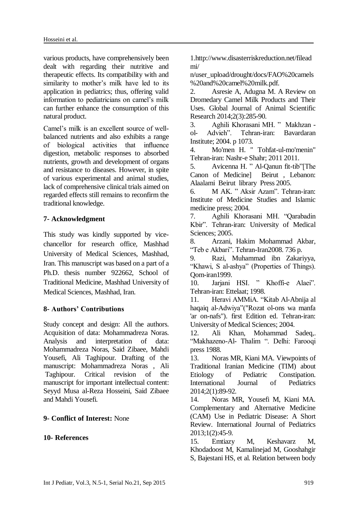various products, have comprehensively been dealt with regarding their nutritive and therapeutic effects. Its compatibility with and similarity to mother's milk have led to its application in pediatrics; thus, offering valid information to pediatricians on camel's milk can further enhance the consumption of this natural product.

Camel's milk is an excellent source of wellbalanced nutrients and also exhibits a range of biological activities that influence digestion, metabolic responses to absorbed nutrients, growth and development of organs and resistance to diseases. However, in spite of various experimental and animal studies, lack of comprehensive clinical trials aimed on regarded effects still remains to reconfirm the traditional knowledge.

## **7- Acknowledgment**

This study was kindly supported by vicechancellor for research office, Mashhad University of Medical Sciences, Mashhad, Iran. This manuscript was based on a part of a Ph.D. thesis number 922662, School of Traditional Medicine, Mashhad University of Medical Sciences, Mashhad, Iran.

### **8- Authors' Contributions**

Study concept and design: All the authors. Acquisition of data: Mohammadreza Noras. Analysis and interpretation of data: Mohammadreza Noras, Said Zibaee, Mahdi Yousefi, Ali Taghipour. Drafting of the manuscript: Mohammadreza Noras , Ali Taghipour. Critical revision of the manuscript for important intellectual content: Seyyd Musa al-Reza Hosseini, Said Zibaee and Mahdi Yousefi.

### **9- Conflict of Interest:** None

### **10- References**

1.http://www.disasterriskreduction.net/filead mi/

[n/user\\_upload/drought/docs/FAO%20camels](http://www.disasterriskreduction.net/fileadmin/user_upload/drought/docs/FAO%20camels%20and%20camel%20milk.pdf) [%20and%20camel%20milk.pdf.](http://www.disasterriskreduction.net/fileadmin/user_upload/drought/docs/FAO%20camels%20and%20camel%20milk.pdf)

2. Asresie A, Adugna M. A Review on Dromedary Camel Milk Products and Their Uses. Global Journal of Animal Scientific Research 2014;2(3):285-90.

3. Aghili Khorasani MH. " Makhzan ol- Advieh". Tehran-iran: Bavardaran Institute; 2004. p 1073.

4. Mo'men H. " Tohfat-ul-mo'menin" Tehran-iran: Nashr-e Shahr; 2011 2011.

5. Avicenna H. " Al-Qanun fit-tib"[The Canon of Medicine] Beirut , Lebanon: Alaalami Beirut library Press 2005.

6. M AK. " Aksir Azam". Tehran-iran: Institute of Medicine Studies and Islamic medicine press; 2004.

7. Aghili Khorasani MH. "Qarabadin Kbir". Tehran-iran: University of Medical Sciences; 2005.

8. Arzani, Hakim Mohammad Akbar, "Teb e Akbari". Tehran-Iran2008. 736 p.

9. Razi, Muhammad ibn Zakariyya, "Khawi, S al-ashya" (Properties of Things). Qom-iran1999.

10. Jarjani HSI. " Khoffi-e Alaei". Tehran-iran: Ettelaat; 1998.

11. Heravi AMMiA. "Kitab Al-Abnija al haqaiq al-Adwiya"("Rozat ol-ons wa manfa 'ar on-nafs"). first Edition ed. Tehran-iran: University of Medical Sciences; 2004.

12. Ali Khan, Mohammad Sadeq,. "Makhazeno-Al- Thalim ". Delhi: Farooqi press 1988.

13. Noras MR, Kiani MA. Viewpoints of Traditional Iranian Medicine (TIM) about Etiology of Pediatric Constipation. International Journal of Pediatrics 2014;2(1):89-92.

14. Noras MR, Yousefi M, Kiani MA. Complementary and Alternative Medicine (CAM) Use in Pediatric Disease: A Short Review. International Journal of Pediatrics 2013;1(2):45-9.

15. Emtiazy M, Keshavarz M, Khodadoost M, Kamalinejad M, Gooshahgir S, Bajestani HS, et al. Relation between body